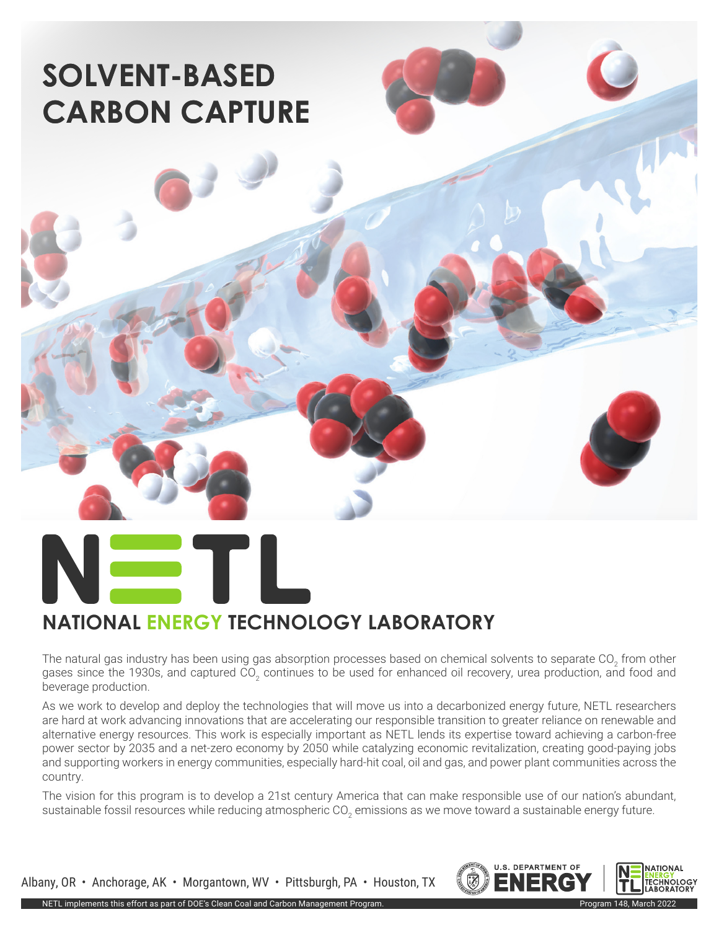# **SOLVENT-BASED CARBON CAPTURE**

### **NATIONAL ENERGY TECHNOLOGY LABORATORY**

The natural gas industry has been using gas absorption processes based on chemical solvents to separate CO<sub>2</sub> from other gases since the 1930s, and captured CO<sub>2</sub> continues to be used for enhanced oil recovery, urea production, and food and beverage production.

As we work to develop and deploy the technologies that will move us into a decarbonized energy future, NETL researchers are hard at work advancing innovations that are accelerating our responsible transition to greater reliance on renewable and alternative energy resources. This work is especially important as NETL lends its expertise toward achieving a carbon-free power sector by 2035 and a net-zero economy by 2050 while catalyzing economic revitalization, creating good-paying jobs and supporting workers in energy communities, especially hard-hit coal, oil and gas, and power plant communities across the country.

The vision for this program is to develop a 21st century America that can make responsible use of our nation's abundant, sustainable fossil resources while reducing atmospheric CO<sub>2</sub> emissions as we move toward a sustainable energy future.

Albany, OR • Anchorage, AK • Morgantown, WV • Pittsburgh, PA • Houston, TX